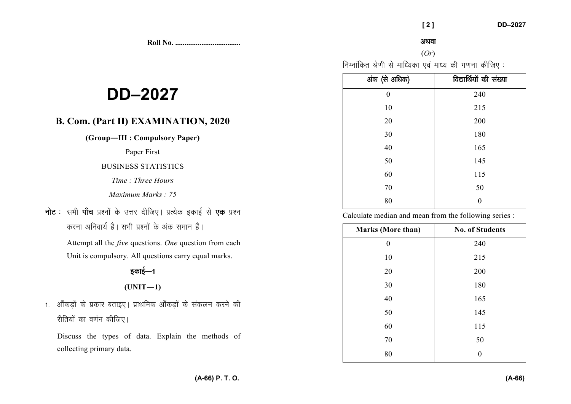**Roll No. ...................................** 

#### अथवा

# (*Or*)

निम्नांकित श्रेणी से माध्यिका एवं माध्य की गणना कीजिए:

| अंक (से अधिक)    | विद्यार्थियों की संख्या |
|------------------|-------------------------|
| $\boldsymbol{0}$ | 240                     |
| 10               | 215                     |
| 20               | 200                     |
| 30               | 180                     |
| 40               | 165                     |
| 50               | 145                     |
| 60               | 115                     |
| $70\,$           | 50                      |
| 80               | $\theta$                |

Calculate median and mean from the following series :

| <b>Marks (More than)</b> | <b>No. of Students</b> |
|--------------------------|------------------------|
| 0                        | 240                    |
| 10                       | 215                    |
| 20                       | 200                    |
| 30                       | 180                    |
| 40                       | 165                    |
| 50                       | 145                    |
| 60                       | 115                    |
| 70                       | 50                     |
| 80                       | 0                      |

# **DD–2027**

# **B. Com. (Part II) EXAMINATION, 2020**

**(Group—III : Compulsory Paper)** 

Paper First

# BUSINESS STATISTICS

*Time : Three Hours* 

*Maximum Marks : 75*

**नोट** : सभी **पाँच** प्रश्नों के उत्तर दीजिए। प्रत्येक इकाई से **एक** प्रश्न करना अनिवार्य है। सभी प्रश्नों के अंक समान हैं।

> Attempt all the *five* questions. *One* question from each Unit is compulsory. All questions carry equal marks.

# डकाई—1

 $(UNIT-1)$ 

1. ऑकड़ों के प्रकार बताइए। प्राथमिक ऑकड़ों के संकलन करने की रीतियों का वर्णन कीजिए।

Discuss the types of data. Explain the methods of collecting primary data.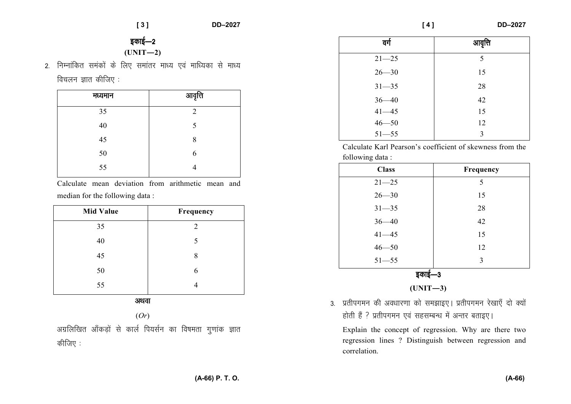**[ 4 ] DD–2027** 

# इकाई—2  $(UNIT-2)$

2. निम्नांकित समंकों के लिए समांतर माध्य एवं माध्यिका से माध्य विचलन ज्ञात कीजिए $:$ 

| मध्यमान | आवृत्ति        |
|---------|----------------|
| 35      | $\overline{2}$ |
| 40      | 5              |
| 45      | 8              |
| 50      | 6              |
| 55      |                |

Calculate mean deviation from arithmetic mean and median for the following data :

| <b>Mid Value</b> | Frequency |  |  |  |
|------------------|-----------|--|--|--|
| 35               | 2         |  |  |  |
| 40               | 5         |  |  |  |
| 45               | 8         |  |  |  |
| 50               | 6         |  |  |  |
| 55               |           |  |  |  |
|                  |           |  |  |  |

vFkok

(*Or*)

अग्रलिखित आँकड़ों से कार्ल पियर्सन का विषमता गुणांक ज्ञात कीजिए $:$ 

| वर्ग      | आवृत्ति |
|-----------|---------|
| $21 - 25$ | 5       |
| $26 - 30$ | 15      |
| $31 - 35$ | 28      |
| $36 - 40$ | 42      |
| $41 - 45$ | 15      |
| $46 - 50$ | 12      |
| $51 - 55$ | 3       |

Calculate Karl Pearson's coefficient of skewness from the following data :

| <b>Class</b> | Frequency |  |  |  |
|--------------|-----------|--|--|--|
| $21 - 25$    | 5         |  |  |  |
| $26 - 30$    | 15        |  |  |  |
| $31 - 35$    | 28        |  |  |  |
| $36 - 40$    | 42        |  |  |  |
| $41 - 45$    | 15        |  |  |  |
| $46 - 50$    | 12        |  |  |  |
| $51 - 55$    | 3         |  |  |  |
| şф           |           |  |  |  |

**(UNIT—3)** 

3. प्रतीपगमन की अवधारणा को समझाइए। प्रतीपगमन रेखाएँ दो क्यों होती हैं ? प्रतीपगमन एवं सहसम्बन्ध में अन्तर बताइए।

Explain the concept of regression. Why are there two regression lines ? Distinguish between regression and correlation.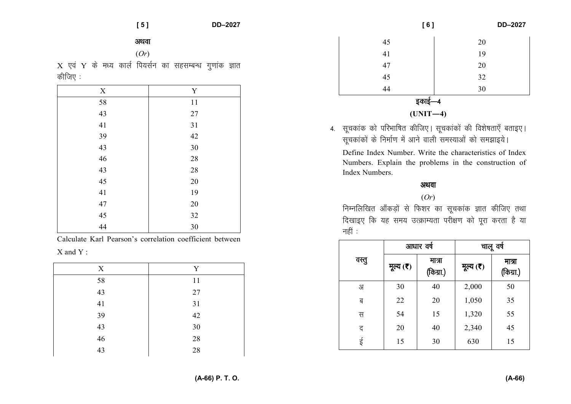#### अथवा

 $(Or)$ 

 $X$  एवं Y के मध्य कार्ल पियर्सन का सहसम्बन्ध गुणांक ज्ञात कीजिए :

| $\mathbf X$ | Y      |
|-------------|--------|
| 58          | 11     |
| 43          | $27\,$ |
| 41          | $31\,$ |
| 39          | 42     |
| 43          | 30     |
| 46          | $28\,$ |
| 43          | $28\,$ |
| 45          | $20\,$ |
| $41\,$      | 19     |
| $47\,$      | $20\,$ |
| 45          | 32     |
| 44          | 30     |

Calculate Karl Pearson's correlation coefficient between  $X$  and  $Y$ .

| X  | Y      |
|----|--------|
| 58 | 11     |
| 43 | 27     |
| 41 | 31     |
| 39 | $42\,$ |
| 43 | 30     |
| 46 | 28     |
| 43 | 28     |

| [6]        | DD-2027 |  |  |
|------------|---------|--|--|
| 45         | 20      |  |  |
| 41         | 19      |  |  |
| 47         | 20      |  |  |
| 45         | 32      |  |  |
| 44         | 30      |  |  |
| इकाई—4     |         |  |  |
| $(UNIT-4)$ |         |  |  |

4. सूचकांक को परिभाषित कीजिए। सूचकांकों की विशेषताएँ बताइए। सूचकांकों के निर्माण में आने वाली समस्याओं को समझाइये।

Define Index Number. Write the characteristics of Index Numbers. Explain the problems in the construction of Index Numbers.

# अथवा

 $(Or)$ 

निम्नलिखित आँकड़ों से फिशर का सूचकांक ज्ञात कीजिए तथा दिखाइए कि यह समय उत्क्राम्यता परीक्षण को पूरा करता है या नहीं $\therefore$ 

|       | आधार वर्ष |                     | चालू वर्ष |                     |
|-------|-----------|---------------------|-----------|---------------------|
| वस्तु | मूल्य (र) | मात्रा<br>(किग्रा.) | मूल्य (र) | मात्रा<br>(किग्रा.) |
| अ     | 30        | 40                  | 2,000     | 50                  |
| ब     | 22        | 20                  | 1,050     | 35                  |
| स     | 54        | 15                  | 1,320     | 55                  |
| द     | 20        | 40                  | 2,340     | 45                  |
| ई     | 15        | 30                  | 630       | 15                  |